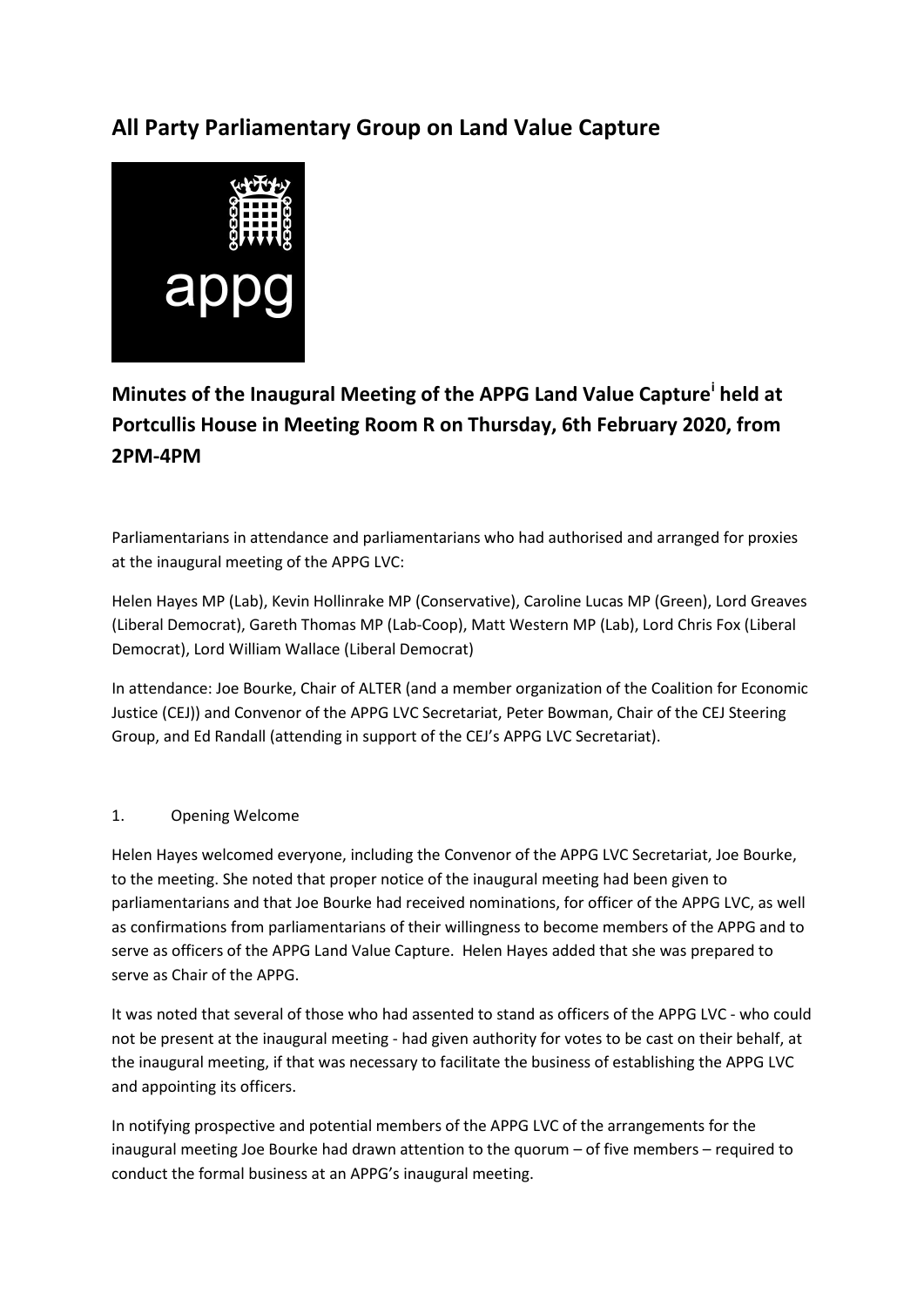# **All Party Parliamentary Group on Land Value Capture**



# **Minutes of the Inaugural Meeting of the APPG Land Value Capture[i](#page-1-0) held at Portcullis House in Meeting Room R on Thursday, 6th February 2020, from 2PM-4PM**

Parliamentarians in attendance and parliamentarians who had authorised and arranged for proxies at the inaugural meeting of the APPG LVC:

Helen Hayes MP (Lab), Kevin Hollinrake MP (Conservative), Caroline Lucas MP (Green), Lord Greaves (Liberal Democrat), Gareth Thomas MP (Lab-Coop), Matt Western MP (Lab), Lord Chris Fox (Liberal Democrat), Lord William Wallace (Liberal Democrat)

In attendance: Joe Bourke, Chair of ALTER (and a member organization of the Coalition for Economic Justice (CEJ)) and Convenor of the APPG LVC Secretariat, Peter Bowman, Chair of the CEJ Steering Group, and Ed Randall (attending in support of the CEJ's APPG LVC Secretariat).

### 1. Opening Welcome

Helen Hayes welcomed everyone, including the Convenor of the APPG LVC Secretariat, Joe Bourke, to the meeting. She noted that proper notice of the inaugural meeting had been given to parliamentarians and that Joe Bourke had received nominations, for officer of the APPG LVC, as well as confirmations from parliamentarians of their willingness to become members of the APPG and to serve as officers of the APPG Land Value Capture. Helen Hayes added that she was prepared to serve as Chair of the APPG.

It was noted that several of those who had assented to stand as officers of the APPG LVC - who could not be present at the inaugural meeting - had given authority for votes to be cast on their behalf, at the inaugural meeting, if that was necessary to facilitate the business of establishing the APPG LVC and appointing its officers.

In notifying prospective and potential members of the APPG LVC of the arrangements for the inaugural meeting Joe Bourke had drawn attention to the quorum – of five members – required to conduct the formal business at an APPG's inaugural meeting.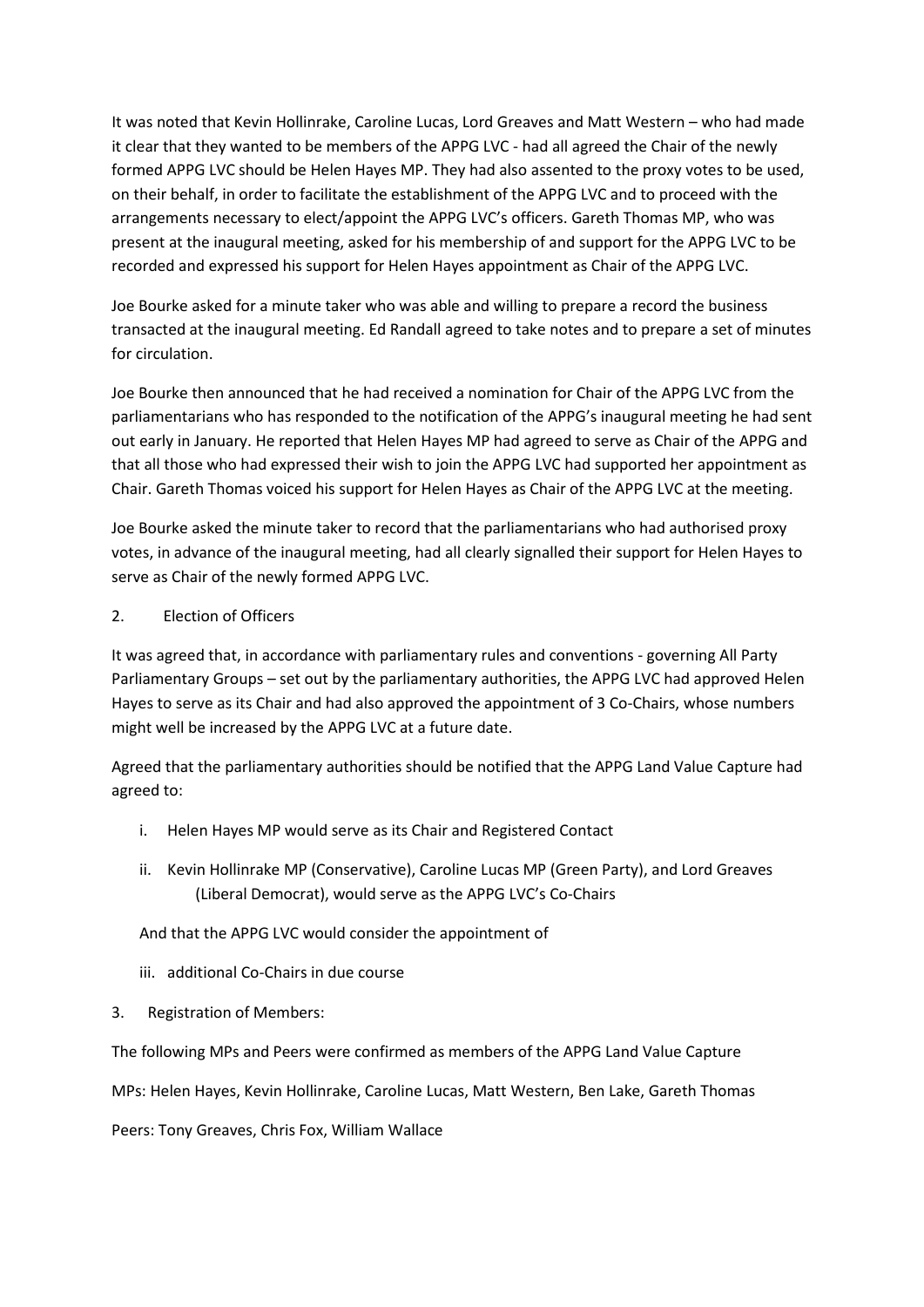It was noted that Kevin Hollinrake, Caroline Lucas, Lord Greaves and Matt Western – who had made it clear that they wanted to be members of the APPG LVC - had all agreed the Chair of the newly formed APPG LVC should be Helen Hayes MP. They had also assented to the proxy votes to be used, on their behalf, in order to facilitate the establishment of the APPG LVC and to proceed with the arrangements necessary to elect/appoint the APPG LVC's officers. Gareth Thomas MP, who was present at the inaugural meeting, asked for his membership of and support for the APPG LVC to be recorded and expressed his support for Helen Hayes appointment as Chair of the APPG LVC.

Joe Bourke asked for a minute taker who was able and willing to prepare a record the business transacted at the inaugural meeting. Ed Randall agreed to take notes and to prepare a set of minutes for circulation.

Joe Bourke then announced that he had received a nomination for Chair of the APPG LVC from the parliamentarians who has responded to the notification of the APPG's inaugural meeting he had sent out early in January. He reported that Helen Hayes MP had agreed to serve as Chair of the APPG and that all those who had expressed their wish to join the APPG LVC had supported her appointment as Chair. Gareth Thomas voiced his support for Helen Hayes as Chair of the APPG LVC at the meeting.

Joe Bourke asked the minute taker to record that the parliamentarians who had authorised proxy votes, in advance of the inaugural meeting, had all clearly signalled their support for Helen Hayes to serve as Chair of the newly formed APPG LVC.

### 2. Election of Officers

It was agreed that, in accordance with parliamentary rules and conventions - governing All Party Parliamentary Groups – set out by the parliamentary authorities, the APPG LVC had approved Helen Hayes to serve as its Chair and had also approved the appointment of 3 Co-Chairs, whose numbers might well be increased by the APPG LVC at a future date.

Agreed that the parliamentary authorities should be notified that the APPG Land Value Capture had agreed to:

- i. Helen Hayes MP would serve as its Chair and Registered Contact
- ii. Kevin Hollinrake MP (Conservative), Caroline Lucas MP (Green Party), and Lord Greaves (Liberal Democrat), would serve as the APPG LVC's Co-Chairs

#### And that the APPG LVC would consider the appointment of

- iii. additional Co-Chairs in due course
- 3. Registration of Members:

The following MPs and Peers were confirmed as members of the APPG Land Value Capture

<span id="page-1-0"></span>MPs: Helen Hayes, Kevin Hollinrake, Caroline Lucas, Matt Western, Ben Lake, Gareth Thomas

Peers: Tony Greaves, Chris Fox, William Wallace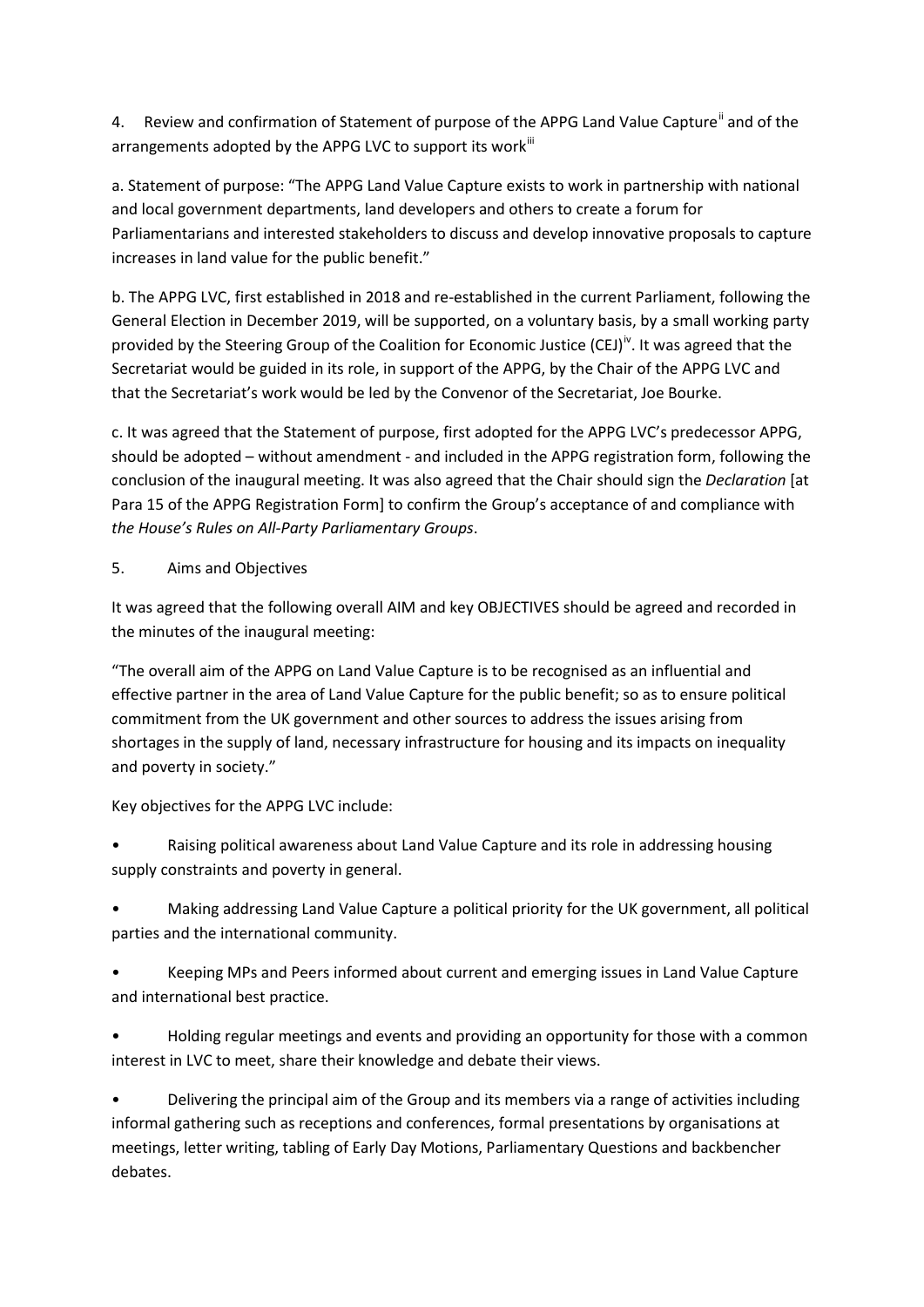4. Review and confirmation of Statement of purpose of the APPG Land Value Capture" and of the arrangements adopted by the APPG LVC to support its workill

<span id="page-2-0"></span>a. Statement of purpose: "The APPG Land Value Capture exists to work in partnership with national and local government departments, land developers and others to create a forum for Parliamentarians and interested stakeholders to discuss and develop innovative proposals to capture increases in land value for the public benefit."

<span id="page-2-1"></span>b. The APPG LVC, first established in 2018 and re-established in the current Parliament, following the General Election in December 2019, will be supported, on a voluntary basis, by a small working party provided by the Steering Group of the Coalition for Economic Justice (CEJ)<sup>[iv](#page-2-2)</sup>. It was agreed that the Secretariat would be guided in its role, in support of the APPG, by the Chair of the APPG LVC and that the Secretariat's work would be led by the Convenor of the Secretariat, Joe Bourke.

<span id="page-2-3"></span><span id="page-2-2"></span>c. It was agreed that the Statement of purpose, first adopted for the APPG LVC's predecessor APPG, should be adopted – without amendment - and included in the APPG registration form, following the conclusion of the inaugural meeting. It was also agreed that the Chair should sign the *Declaration* [at Para 15 of the APPG Registration Form] to confirm the Group's acceptance of and compliance with *the House's Rules on All-Party Parliamentary Groups*.

## <span id="page-2-4"></span>5. Aims and Objectives

It was agreed that the following overall AIM and key OBJECTIVES should be agreed and recorded in the minutes of the inaugural meeting:

<span id="page-2-5"></span>"The overall aim of the APPG on Land Value Capture is to be recognised as an influential and effective partner in the area of Land Value Capture for the public benefit; so as to ensure political commitment from the UK government and other sources to address the issues arising from shortages in the supply of land, necessary infrastructure for housing and its impacts on inequality and poverty in society."

Key objectives for the APPG LVC include:

<span id="page-2-6"></span>• Raising political awareness about Land Value Capture and its role in addressing housing supply constraints and poverty in general.

• Making addressing Land Value Capture a political priority for the UK government, all political parties and the international community.

<span id="page-2-7"></span>• Keeping MPs and Peers informed about current and emerging issues in Land Value Capture and international best practice.

• Holding regular meetings and events and providing an opportunity for those with a common interest in LVC to meet, share their knowledge and debate their views.

<span id="page-2-8"></span>• Delivering the principal aim of the Group and its members via a range of activities including informal gathering such as receptions and conferences, formal presentations by organisations at meetings, letter writing, tabling of Early Day Motions, Parliamentary Questions and backbencher debates.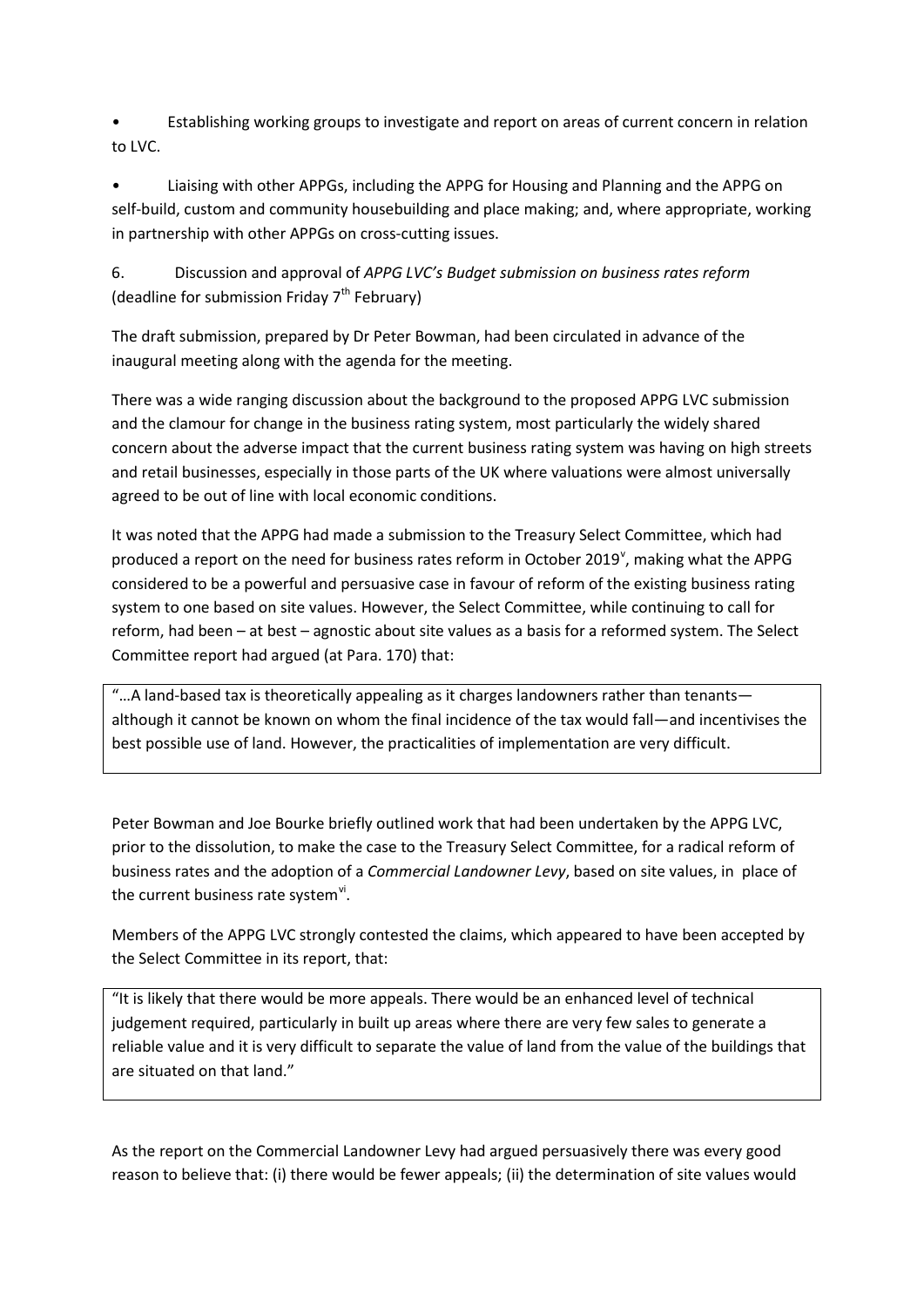• Establishing working groups to investigate and report on areas of current concern in relation to LVC.

<span id="page-3-0"></span>• Liaising with other APPGs, including the APPG for Housing and Planning and the APPG on self-build, custom and community housebuilding and place making; and, where appropriate, working in partnership with other APPGs on cross-cutting issues.

6. Discussion and approval of *APPG LVC's Budget submission on business rates reform* (deadline for submission Friday  $7<sup>th</sup>$  February)

<span id="page-3-1"></span>The draft submission, prepared by Dr Peter Bowman, had been circulated in advance of the inaugural meeting along with the agenda for the meeting.

<span id="page-3-2"></span>There was a wide ranging discussion about the background to the proposed APPG LVC submission and the clamour for change in the business rating system, most particularly the widely shared concern about the adverse impact that the current business rating system was having on high streets and retail businesses, especially in those parts of the UK where valuations were almost universally agreed to be out of line with local economic conditions.

It was noted that the APPG had made a submission to the Treasury Select Committee, which had produced a report on the need for business rates reform in October 2019<sup>[v](#page-2-3)</sup>, making what the APPG considered to be a powerful and persuasive case in favour of reform of the existing business rating system to one based on site values. However, the Select Committee, while continuing to call for reform, had been – at best – agnostic about site values as a basis for a reformed system. The Select Committee report had argued (at Para. 170) that:

<span id="page-3-3"></span>"…A land-based tax is theoretically appealing as it charges landowners rather than tenants although it cannot be known on whom the final incidence of the tax would fall—and incentivises the best possible use of land. However, the practicalities of implementation are very difficult.

<span id="page-3-4"></span>Peter Bowman and Joe Bourke briefly outlined work that had been undertaken by the APPG LVC, prior to the dissolution, to make the case to the Treasury Select Committee, for a radical reform of business rates and the adoption of a *Commercial Landowner Levy*, based on site values, in place of the current business rate system<sup>[vi](#page-2-4)</sup>.

Members of the APPG LVC strongly contested the claims, which appeared to have been accepted by the Select Committee in its report, that:

<span id="page-3-6"></span><span id="page-3-5"></span>"It is likely that there would be more appeals. There would be an enhanced level of technical judgement required, particularly in built up areas where there are very few sales to generate a reliable value and it is very difficult to separate the value of land from the value of the buildings that are situated on that land."

As the report on the Commercial Landowner Levy had argued persuasively there was every good reason to believe that: (i) there would be fewer appeals; (ii) the determination of site values would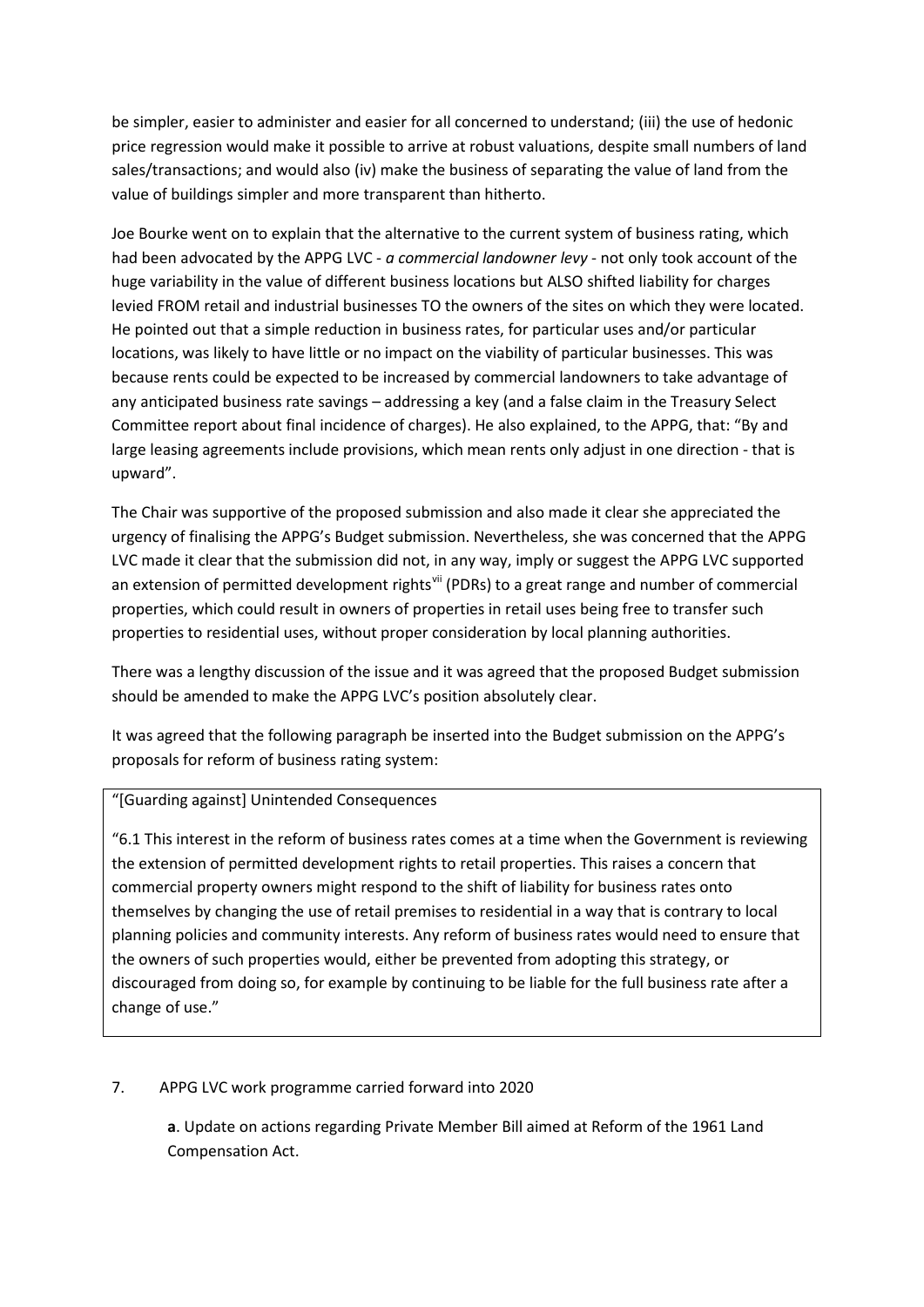be simpler, easier to administer and easier for all concerned to understand; (iii) the use of hedonic price regression would make it possible to arrive at robust valuations, despite small numbers of land sales/transactions; and would also (iv) make the business of separating the value of land from the value of buildings simpler and more transparent than hitherto.

Joe Bourke went on to explain that the alternative to the current system of business rating, which had been advocated by the APPG LVC - *a commercial landowner levy* - not only took account of the huge variability in the value of different business locations but ALSO shifted liability for charges levied FROM retail and industrial businesses TO the owners of the sites on which they were located. He pointed out that a simple reduction in business rates, for particular uses and/or particular locations, was likely to have little or no impact on the viability of particular businesses. This was because rents could be expected to be increased by commercial landowners to take advantage of any anticipated business rate savings – addressing a key (and a false claim in the Treasury Select Committee report about final incidence of charges). He also explained, to the APPG, that: "By and large leasing agreements include provisions, which mean rents only adjust in one direction - that is upward".

The Chair was supportive of the proposed submission and also made it clear she appreciated the urgency of finalising the APPG's Budget submission. Nevertheless, she was concerned that the APPG LVC made it clear that the submission did not, in any way, imply or suggest the APPG LVC supported an extension of permitted development rights<sup>[vii](#page-2-5)</sup> (PDRs) to a great range and number of commercial properties, which could result in owners of properties in retail uses being free to transfer such properties to residential uses, without proper consideration by local planning authorities.

There was a lengthy discussion of the issue and it was agreed that the proposed Budget submission should be amended to make the APPG LVC's position absolutely clear.

It was agreed that the following paragraph be inserted into the Budget submission on the APPG's proposals for reform of business rating system:

### "[Guarding against] Unintended Consequences

"6.1 This interest in the reform of business rates comes at a time when the Government is reviewing the extension of permitted development rights to retail properties. This raises a concern that commercial property owners might respond to the shift of liability for business rates onto themselves by changing the use of retail premises to residential in a way that is contrary to local planning policies and community interests. Any reform of business rates would need to ensure that the owners of such properties would, either be prevented from adopting this strategy, or discouraged from doing so, for example by continuing to be liable for the full business rate after a change of use."

### 7. APPG LVC work programme carried forward into 2020

**a**. Update on actions regarding Private Member Bill aimed at Reform of the 1961 Land Compensation Act.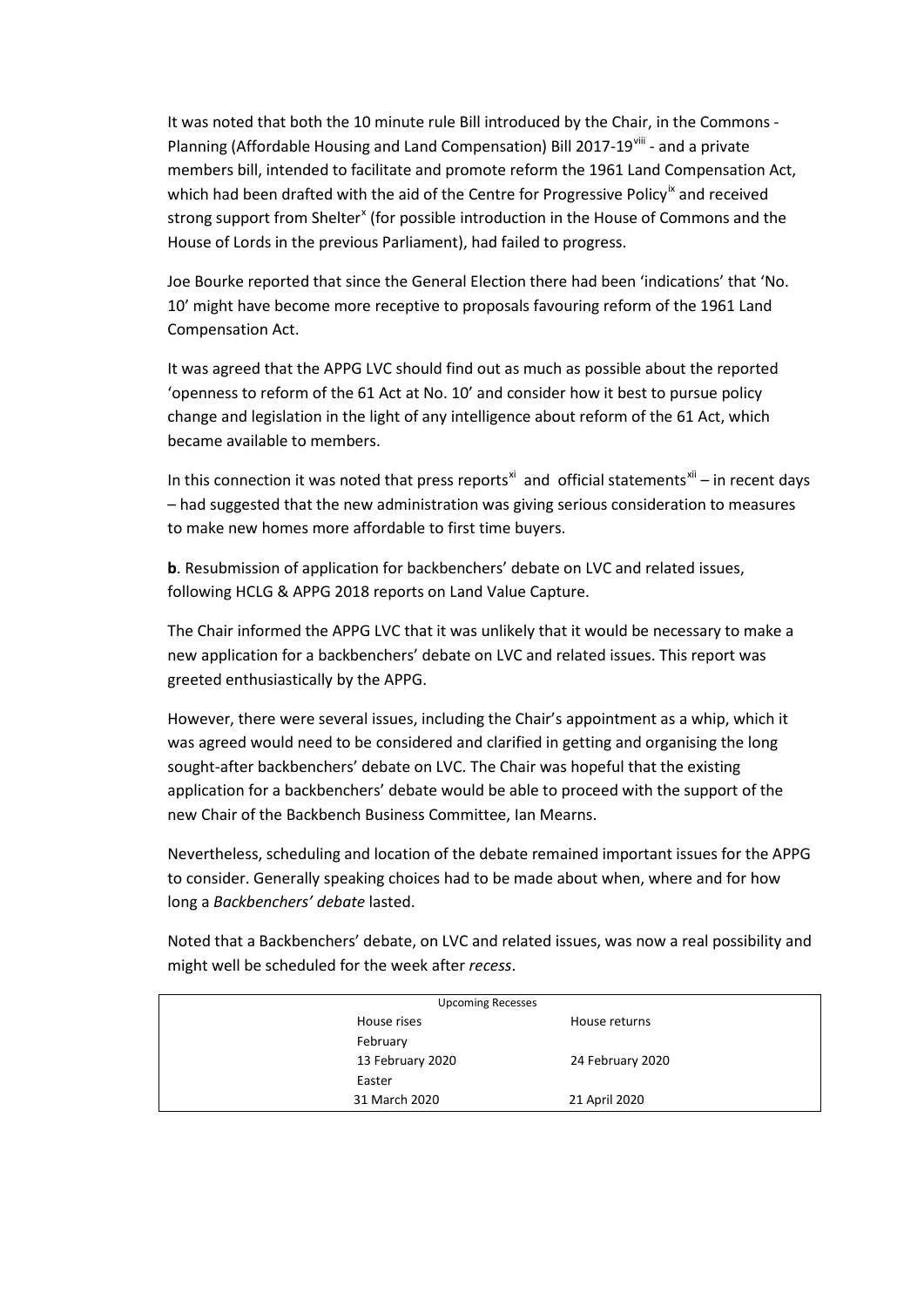It was noted that both the 10 minute rule Bill introduced by the Chair, in the Commons Planning (Affordable Housing and Land Compensation) Bill 2017-19<sup>[viii](#page-2-6)</sup> - and a private members bill, intended to facilitate and promote reform the 1961 Land Compensation Act, which had been drafted with the aid of the Centre for Progressive Policy<sup>[ix](#page-2-7)</sup> and received strong support from Shelter<sup>[x](#page-2-8)</sup> (for possible introduction in the House of Commons and the House of Lords in the previous Parliament), had failed to progress.

Joe Bourke reported that since the General Election there had been 'indications' that 'No. 10' might have become more receptive to proposals favouring reform of the 1961 Land Compensation Act.

It was agreed that the APPG LVC should find out as much as possible about the reported 'openness to reform of the 61 Act at No. 10' and consider how it best to pursue policy change and legislation in the light of any intelligence about reform of the 61 Act, which became available to members.

In this connection it was noted that press reports<sup>[xi](#page-3-0)</sup> and official statements<sup>[xii](#page-3-1)</sup> – in recent days – had suggested that the new administration was giving serious consideration to measures to make new homes more affordable to first time buyers.

**b**. Resubmission of application for backbenchers' debate on LVC and related issues, following HCLG & APPG 2018 reports on Land Value Capture.

The Chair informed the APPG LVC that it was unlikely that it would be necessary to make a new application for a backbenchers' debate on LVC and related issues. This report was greeted enthusiastically by the APPG.

However, there were several issues, including the Chair's appointment as a whip, which it was agreed would need to be considered and clarified in getting and organising the long sought-after backbenchers' debate on LVC. The Chair was hopeful that the existing application for a backbenchers' debate would be able to proceed with the support of the new Chair of the Backbench Business Committee, Ian Mearns.

Nevertheless, scheduling and location of the debate remained important issues for the APPG to consider. Generally speaking choices had to be made about when, where and for how long a *Backbenchers' debate* lasted.

Noted that a Backbenchers' debate, on LVC and related issues, was now a real possibility and might well be scheduled for the week after *recess*.

| <b>Upcoming Recesses</b> |                  |
|--------------------------|------------------|
| House rises              | House returns    |
| February                 |                  |
| 13 February 2020         | 24 February 2020 |
| Easter                   |                  |
| 31 March 2020            | 21 April 2020    |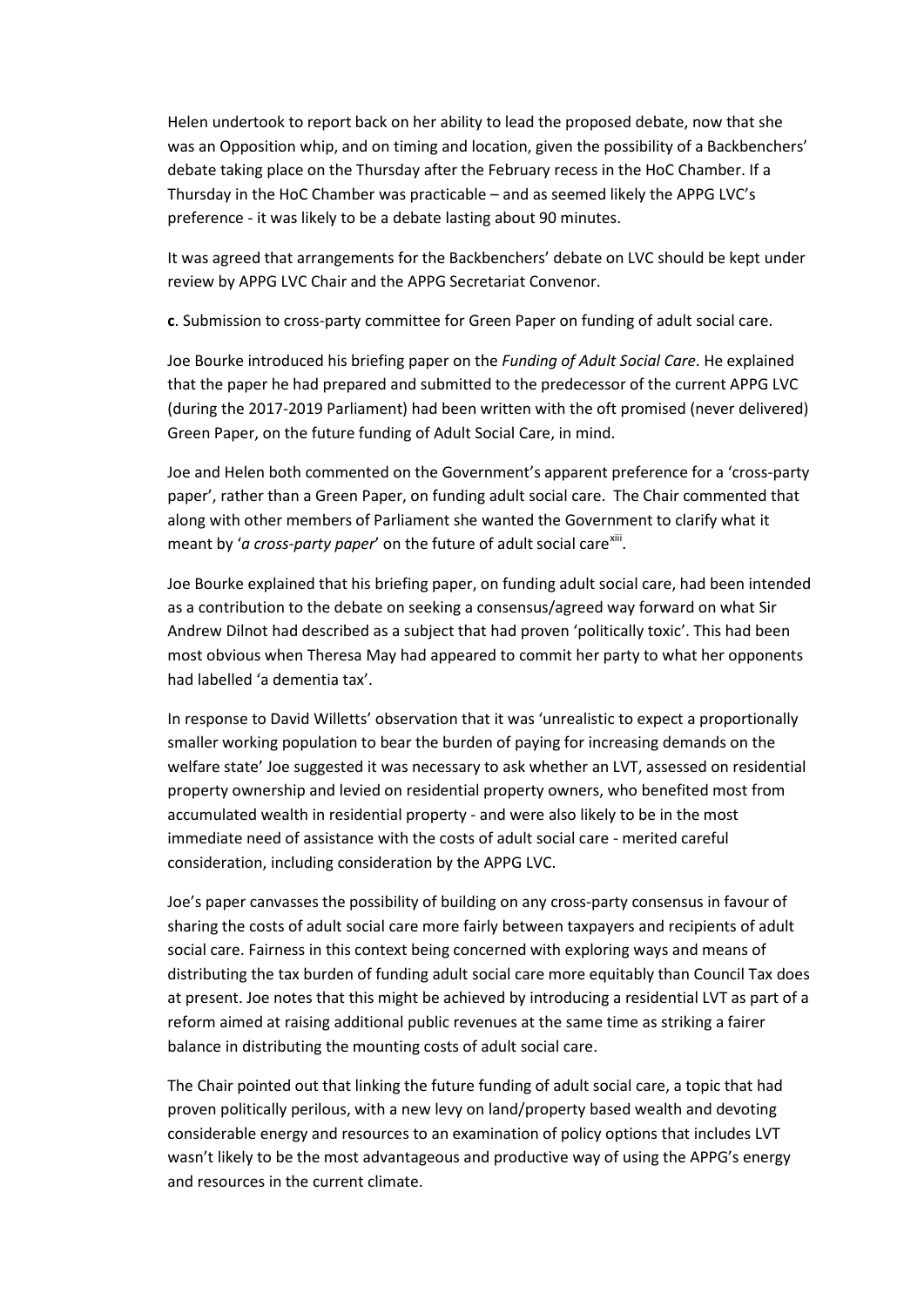Helen undertook to report back on her ability to lead the proposed debate, now that she was an Opposition whip, and on timing and location, given the possibility of a Backbenchers' debate taking place on the Thursday after the February recess in the HoC Chamber. If a Thursday in the HoC Chamber was practicable – and as seemed likely the APPG LVC's preference - it was likely to be a debate lasting about 90 minutes.

It was agreed that arrangements for the Backbenchers' debate on LVC should be kept under review by APPG LVC Chair and the APPG Secretariat Convenor.

**c**. Submission to cross-party committee for Green Paper on funding of adult social care.

Joe Bourke introduced his briefing paper on the *Funding of Adult Social Care*. He explained that the paper he had prepared and submitted to the predecessor of the current APPG LVC (during the 2017-2019 Parliament) had been written with the oft promised (never delivered) Green Paper, on the future funding of Adult Social Care, in mind.

Joe and Helen both commented on the Government's apparent preference for a 'cross-party paper', rather than a Green Paper, on funding adult social care. The Chair commented that along with other members of Parliament she wanted the Government to clarify what it meant by '*a cross-party paper'* on the future of adult social care<sup>xiii</sup>.

Joe Bourke explained that his briefing paper, on funding adult social care, had been intended as a contribution to the debate on seeking a consensus/agreed way forward on what Sir Andrew Dilnot had described as a subject that had proven 'politically toxic'. This had been most obvious when Theresa May had appeared to commit her party to what her opponents had labelled 'a dementia tax'.

In response to David Willetts' observation that it was 'unrealistic to expect a proportionally smaller working population to bear the burden of paying for increasing demands on the welfare state' Joe suggested it was necessary to ask whether an LVT, assessed on residential property ownership and levied on residential property owners, who benefited most from accumulated wealth in residential property - and were also likely to be in the most immediate need of assistance with the costs of adult social care - merited careful consideration, including consideration by the APPG LVC.

Joe's paper canvasses the possibility of building on any cross-party consensus in favour of sharing the costs of adult social care more fairly between taxpayers and recipients of adult social care. Fairness in this context being concerned with exploring ways and means of distributing the tax burden of funding adult social care more equitably than Council Tax does at present. Joe notes that this might be achieved by introducing a residential LVT as part of a reform aimed at raising additional public revenues at the same time as striking a fairer balance in distributing the mounting costs of adult social care.

The Chair pointed out that linking the future funding of adult social care, a topic that had proven politically perilous, with a new levy on land/property based wealth and devoting considerable energy and resources to an examination of policy options that includes LVT wasn't likely to be the most advantageous and productive way of using the APPG's energy and resources in the current climate.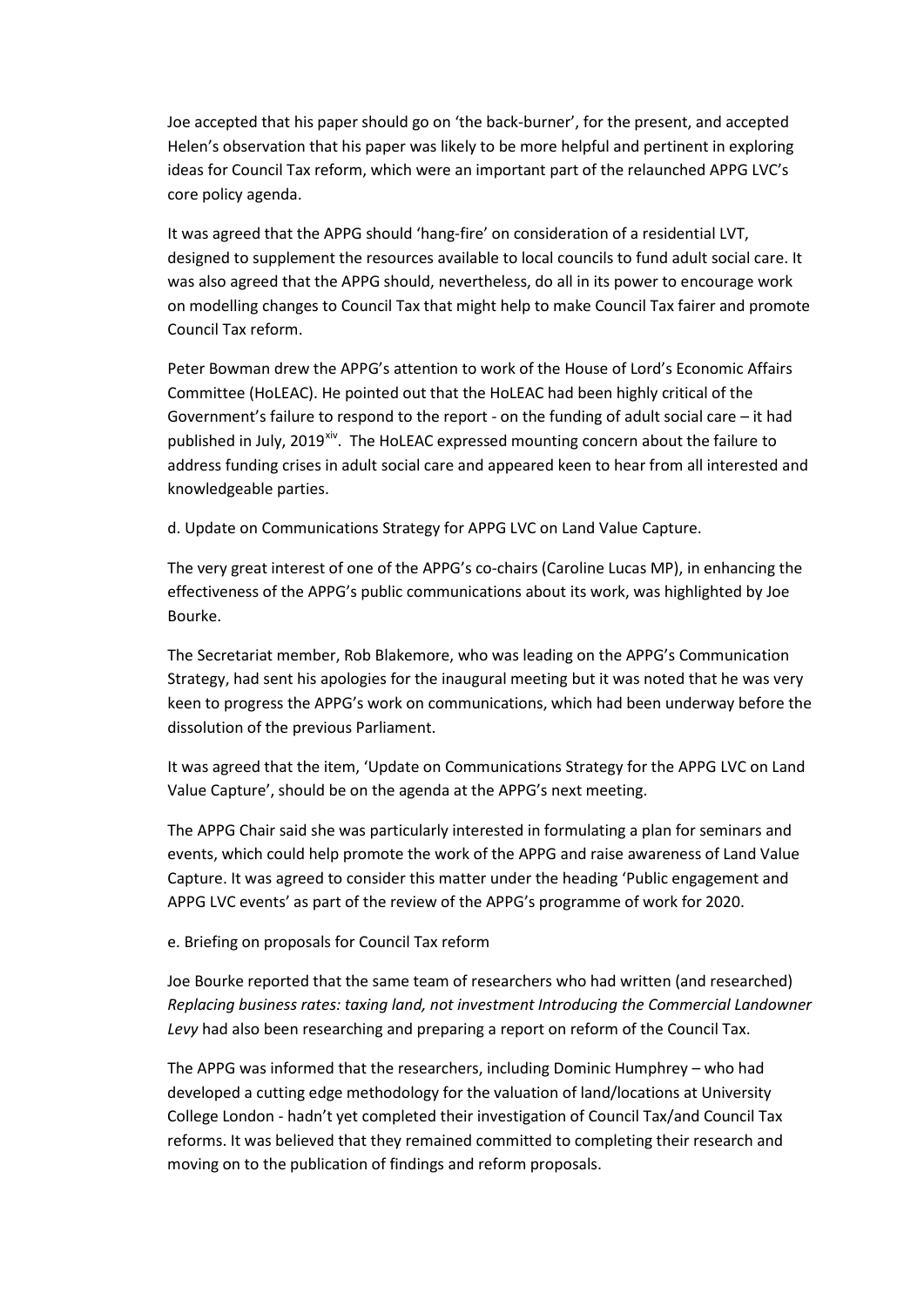Joe accepted that his paper should go on 'the back-burner', for the present, and accepted Helen's observation that his paper was likely to be more helpful and pertinent in exploring ideas for Council Tax reform, which were an important part of the relaunched APPG LVC's core policy agenda.

It was agreed that the APPG should 'hang-fire' on consideration of a residential LVT, designed to supplement the resources available to local councils to fund adult social care. It was also agreed that the APPG should, nevertheless, do all in its power to encourage work on modelling changes to Council Tax that might help to make Council Tax fairer and promote Council Tax reform.

Peter Bowman drew the APPG's attention to work of the House of Lord's Economic Affairs Committee (HoLEAC). He pointed out that the HoLEAC had been highly critical of the Government's failure to respond to the report - on the funding of adult social care – it had published in July, 2019<sup>xiv</sup>. The HoLEAC expressed mounting concern about the failure to address funding crises in adult social care and appeared keen to hear from all interested and knowledgeable parties.

d. Update on Communications Strategy for APPG LVC on Land Value Capture.

The very great interest of one of the APPG's co-chairs (Caroline Lucas MP), in enhancing the effectiveness of the APPG's public communications about its work, was highlighted by Joe Bourke.

The Secretariat member, Rob Blakemore, who was leading on the APPG's Communication Strategy, had sent his apologies for the inaugural meeting but it was noted that he was very keen to progress the APPG's work on communications, which had been underway before the dissolution of the previous Parliament.

It was agreed that the item, 'Update on Communications Strategy for the APPG LVC on Land Value Capture', should be on the agenda at the APPG's next meeting.

The APPG Chair said she was particularly interested in formulating a plan for seminars and events, which could help promote the work of the APPG and raise awareness of Land Value Capture. It was agreed to consider this matter under the heading 'Public engagement and APPG LVC events' as part of the review of the APPG's programme of work for 2020.

#### e. Briefing on proposals for Council Tax reform

Joe Bourke reported that the same team of researchers who had written (and researched) *Replacing business rates: taxing land, not investment Introducing the Commercial Landowner Levy* had also been researching and preparing a report on reform of the Council Tax.

The APPG was informed that the researchers, including Dominic Humphrey – who had developed a cutting edge methodology for the valuation of land/locations at University College London - hadn't yet completed their investigation of Council Tax/and Council Tax reforms. It was believed that they remained committed to completing their research and moving on to the publication of findings and reform proposals.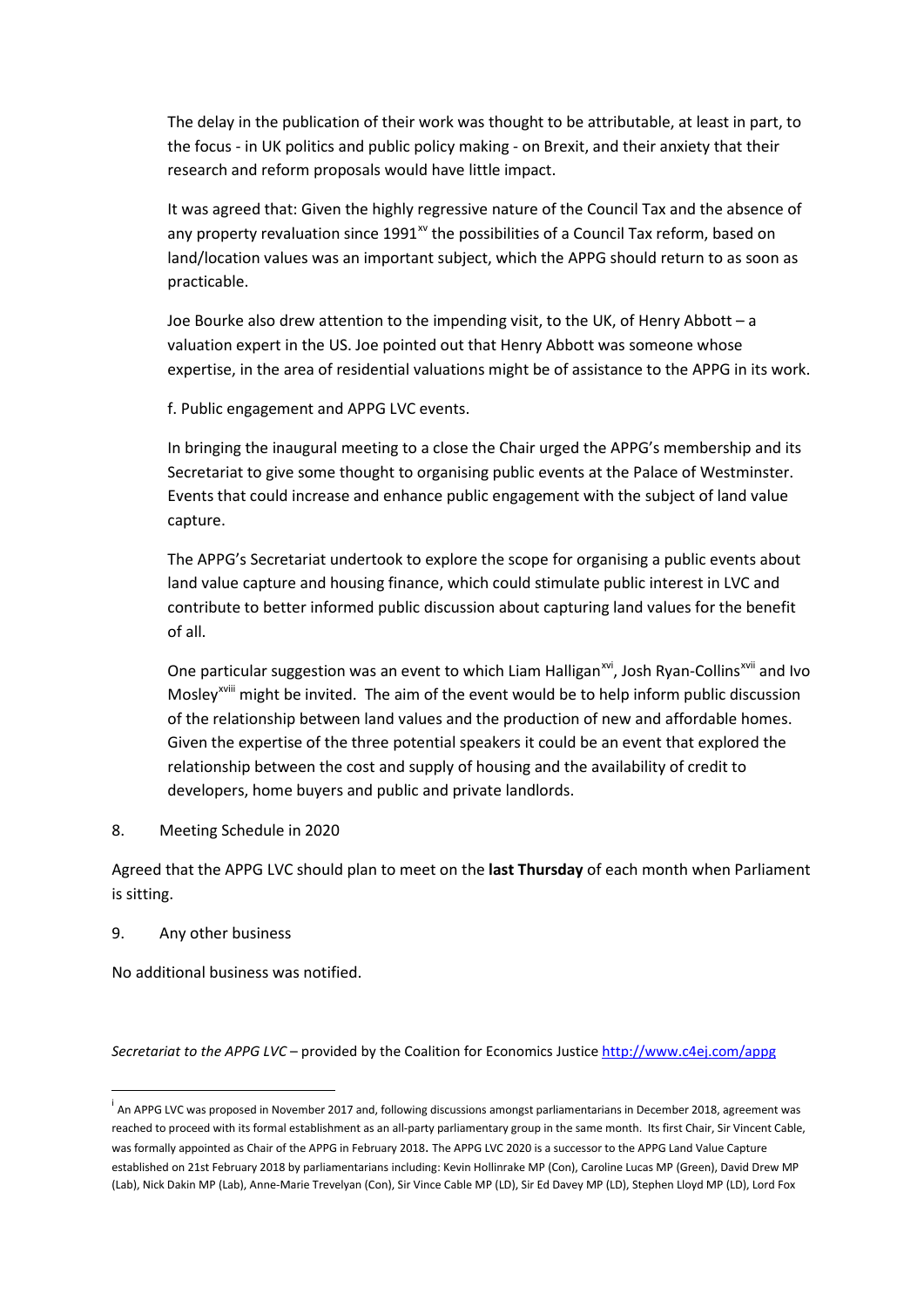The delay in the publication of their work was thought to be attributable, at least in part, to the focus - in UK politics and public policy making - on Brexit, and their anxiety that their research and reform proposals would have little impact.

It was agreed that: Given the highly regressive nature of the Council Tax and the absence of any property revaluation since  $1991<sup>w</sup>$  the possibilities of a Council Tax reform, based on land/location values was an important subject, which the APPG should return to as soon as practicable.

Joe Bourke also drew attention to the impending visit, to the UK, of Henry Abbott – a valuation expert in the US. Joe pointed out that Henry Abbott was someone whose expertise, in the area of residential valuations might be of assistance to the APPG in its work.

f. Public engagement and APPG LVC events.

In bringing the inaugural meeting to a close the Chair urged the APPG's membership and its Secretariat to give some thought to organising public events at the Palace of Westminster. Events that could increase and enhance public engagement with the subject of land value capture.

The APPG's Secretariat undertook to explore the scope for organising a public events about land value capture and housing finance, which could stimulate public interest in LVC and contribute to better informed public discussion about capturing land values for the benefit of all.

One particular suggestion was an event to which Liam Halligan<sup>[xvi](#page-3-5)</sup>, Josh Ryan-Collins<sup>[xvii](#page-3-6)</sup> and Ivo Mosley<sup>xviii</sup> might be invited. The aim of the event would be to help inform public discussion of the relationship between land values and the production of new and affordable homes. Given the expertise of the three potential speakers it could be an event that explored the relationship between the cost and supply of housing and the availability of credit to developers, home buyers and public and private landlords.

8. Meeting Schedule in 2020

Agreed that the APPG LVC should plan to meet on the **last Thursday** of each month when Parliament is sitting.

#### 9. Any other business

No additional business was notified.

*Secretariat to the APPG LVC* – provided by the Coalition for Economics Justice<http://www.c4ej.com/appg>

i  $^{\text{i}}$  An APPG LVC was proposed in November 2017 and, following discussions amongst parliamentarians in December 2018, agreement was reached to proceed with its formal establishment as an all-party parliamentary group in the same month. Its first Chair, Sir Vincent Cable, was formally appointed as Chair of the APPG in February 2018. The APPG LVC 2020 is a successor to the APPG Land Value Capture established on 21st February 2018 by parliamentarians including: Kevin Hollinrake MP (Con), Caroline Lucas MP (Green), David Drew MP (Lab), Nick Dakin MP (Lab), Anne-Marie Trevelyan (Con), Sir Vince Cable MP (LD), Sir Ed Davey MP (LD), Stephen Lloyd MP (LD), Lord Fox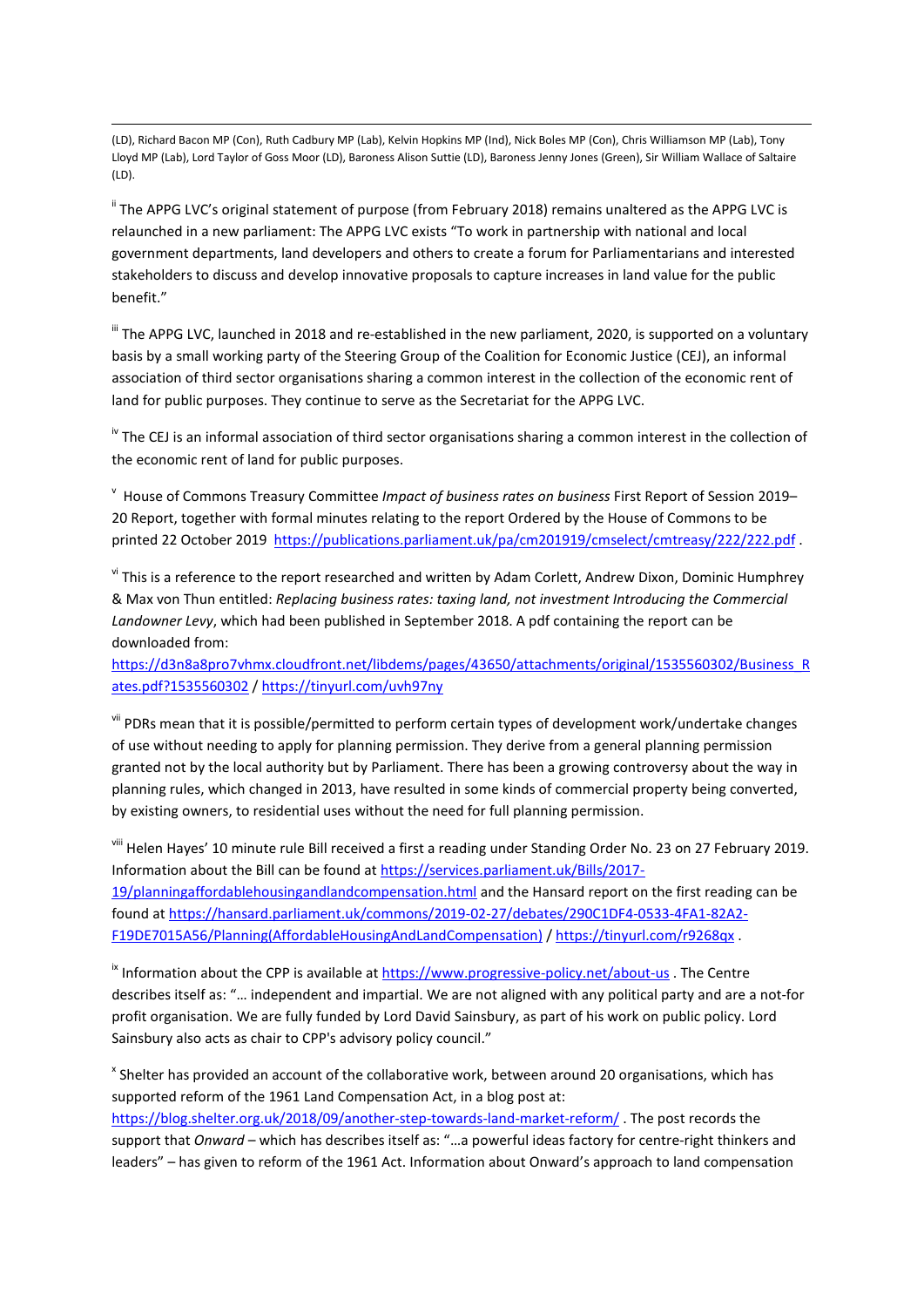(LD), Richard Bacon MP (Con), Ruth Cadbury MP (Lab), Kelvin Hopkins MP (Ind), Nick Boles MP (Con), Chris Williamson MP (Lab), Tony Lloyd MP (Lab), Lord Taylor of Goss Moor (LD), Baroness Alison Suttie (LD), Baroness Jenny Jones (Green), Sir William Wallace of Saltaire (LD).

<sup>ii</sup> The APPG LVC's original statement of purpose (from February 2018) remains unaltered as the APPG LVC is relaunched in a new parliament: The APPG LVC exists "To work in partnership with national and local government departments, land developers and others to create a forum for Parliamentarians and interested stakeholders to discuss and develop innovative proposals to capture increases in land value for the public benefit."

<sup>III</sup> The APPG LVC, launched in 2018 and re-established in the new parliament, 2020, is supported on a voluntary basis by a small working party of the Steering Group of the Coalition for Economic Justice (CEJ), an informal association of third sector organisations sharing a common interest in the collection of the economic rent of land for public purposes. They continue to serve as the Secretariat for the APPG LVC.

<sup>iv</sup> The CEJ is an informal association of third sector organisations sharing a common interest in the collection of the economic rent of land for public purposes.

v House of Commons Treasury Committee *Impact of business rates on business* First Report of Session 2019– 20 Report, together with formal minutes relating to the report Ordered by the House of Commons to be printed 22 October 2019 <https://publications.parliament.uk/pa/cm201919/cmselect/cmtreasy/222/222.pdf> .

v<sup>i</sup> This is a reference to the report researched and written by Adam Corlett, Andrew Dixon, Dominic Humphrey & Max von Thun entitled: *Replacing business rates: taxing land, not investment Introducing the Commercial Landowner Levy*, which had been published in September 2018. A pdf containing the report can be downloaded from:

[https://d3n8a8pro7vhmx.cloudfront.net/libdems/pages/43650/attachments/original/1535560302/Business\\_R](https://d3n8a8pro7vhmx.cloudfront.net/libdems/pages/43650/attachments/original/1535560302/Business_Rates.pdf?1535560302) [ates.pdf?1535560302](https://d3n8a8pro7vhmx.cloudfront.net/libdems/pages/43650/attachments/original/1535560302/Business_Rates.pdf?1535560302) /<https://tinyurl.com/uvh97ny>

vii PDRs mean that it is possible/permitted to perform certain types of development work/undertake changes of use without needing to apply for planning permission. They derive from a general planning permission granted not by the local authority but by Parliament. There has been a growing controversy about the way in planning rules, which changed in 2013, have resulted in some kinds of commercial property being converted, by existing owners, to residential uses without the need for full planning permission.

viii Helen Hayes' 10 minute rule Bill received a first a reading under Standing Order No. 23 on 27 February 2019. Information about the Bill can be found at [https://services.parliament.uk/Bills/2017-](https://services.parliament.uk/Bills/2017-19/planningaffordablehousingandlandcompensation.html) [19/planningaffordablehousingandlandcompensation.html](https://services.parliament.uk/Bills/2017-19/planningaffordablehousingandlandcompensation.html) and the Hansard report on the first reading can be found a[t https://hansard.parliament.uk/commons/2019-02-27/debates/290C1DF4-0533-4FA1-82A2-](https://hansard.parliament.uk/commons/2019-02-27/debates/290C1DF4-0533-4FA1-82A2-F19DE7015A56/Planning(AffordableHousingAndLandCompensation)) [F19DE7015A56/Planning\(AffordableHousingAndLandCompensation\)](https://hansard.parliament.uk/commons/2019-02-27/debates/290C1DF4-0533-4FA1-82A2-F19DE7015A56/Planning(AffordableHousingAndLandCompensation)) /<https://tinyurl.com/r9268qx> .

<sup>ix</sup> Information about the CPP is available at<https://www.progressive-policy.net/about-us> . The Centre describes itself as: "… independent and impartial. We are not aligned with any political party and are a not-for profit organisation. We are fully funded by Lord David Sainsbury, as part of his work on public policy. Lord Sainsbury also acts as chair to CPP's advisory policy council."

<sup>x</sup> Shelter has provided an account of the collaborative work, between around 20 organisations, which has supported reform of the 1961 Land Compensation Act, in a blog post at: <https://blog.shelter.org.uk/2018/09/another-step-towards-land-market-reform/> . The post records the support that *Onward* – which has describes itself as: "…a powerful ideas factory for centre-right thinkers and leaders" – has given to reform of the 1961 Act. Information about Onward's approach to land compensation